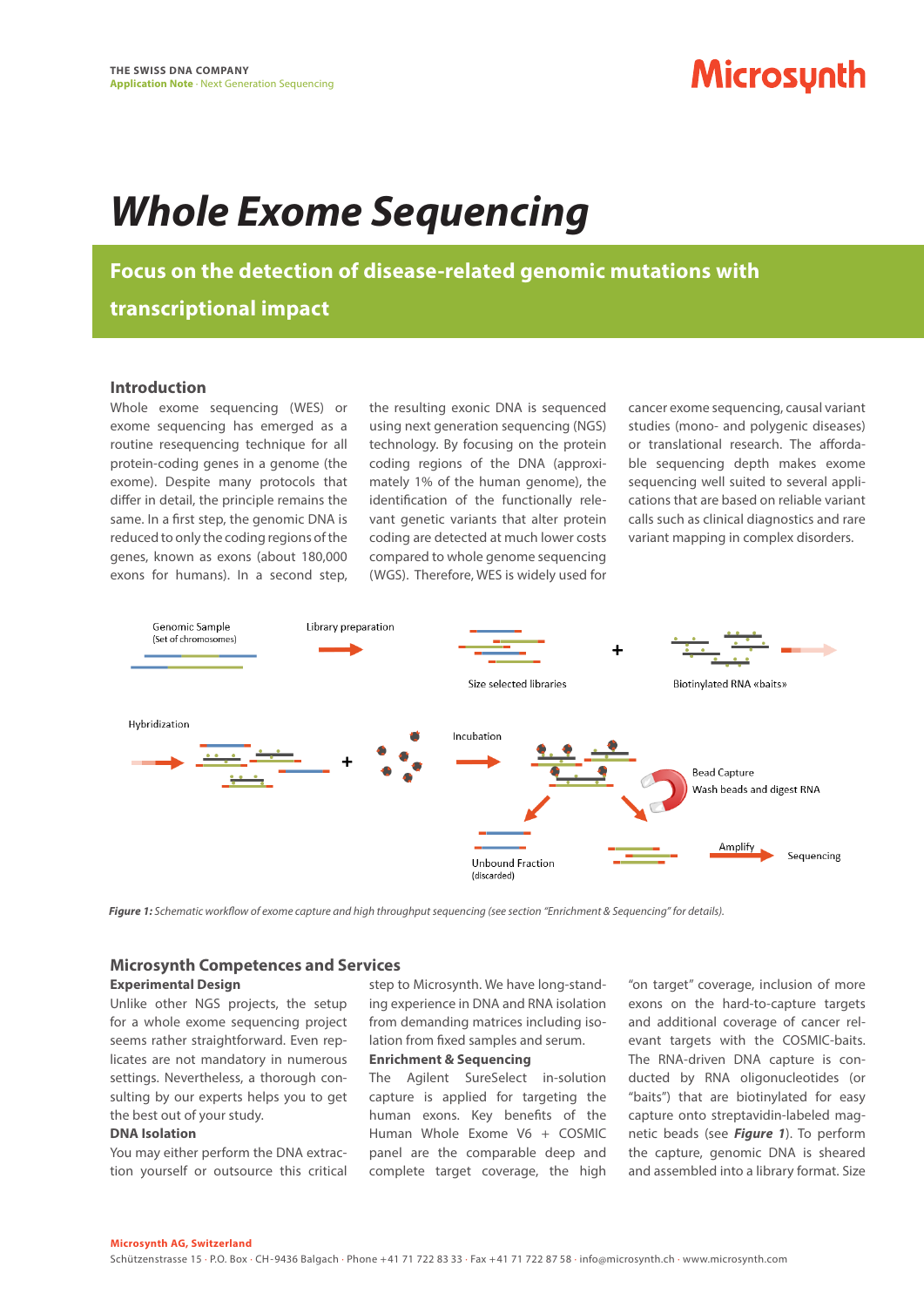# **Microsynth**

# *Whole Exome Sequencing*

**Focus on the detection of disease-related genomic mutations with** 

**transcriptional impact**

## **Introduction**

Whole exome sequencing (WES) or exome sequencing has emerged as a routine resequencing technique for all protein-coding genes in a genome (the exome). Despite many protocols that differ in detail, the principle remains the same. In a first step, the genomic DNA is reduced to only the coding regions of the genes, known as exons (about 180,000 exons for humans). In a second step,

the resulting exonic DNA is sequenced using next generation sequencing (NGS) technology. By focusing on the protein coding regions of the DNA (approximately 1% of the human genome), the identification of the functionally relevant genetic variants that alter protein coding are detected at much lower costs compared to whole genome sequencing (WGS). Therefore, WES is widely used for

cancer exome sequencing, causal variant studies (mono- and polygenic diseases) or translational research. The affordable sequencing depth makes exome sequencing well suited to several applications that are based on reliable variant calls such as clinical diagnostics and rare variant mapping in complex disorders.



*Figure 1: Schematic workflow of exome capture and high throughput sequencing (see section "Enrichment & Sequencing" for details).*

## **Microsynth Competences and Services**

#### **Experimental Design**

Unlike other NGS projects, the setup for a whole exome sequencing project seems rather straightforward. Even replicates are not mandatory in numerous settings. Nevertheless, a thorough consulting by our experts helps you to get the best out of your study.

#### **DNA Isolation**

You may either perform the DNA extraction yourself or outsource this critical step to Microsynth. We have long-standing experience in DNA and RNA isolation from demanding matrices including isolation from fixed samples and serum.

# **Enrichment & Sequencing**

The Agilent SureSelect in-solution capture is applied for targeting the human exons. Key benefits of the Human Whole Exome V6 + COSMIC panel are the comparable deep and complete target coverage, the high

"on target" coverage, inclusion of more exons on the hard-to-capture targets and additional coverage of cancer relevant targets with the COSMIC-baits. The RNA-driven DNA capture is conducted by RNA oligonucleotides (or "baits") that are biotinylated for easy capture onto streptavidin-labeled magnetic beads (see *Figure 1*). To perform the capture, genomic DNA is sheared and assembled into a library format. Size

#### **Microsynth AG, Switzerland**